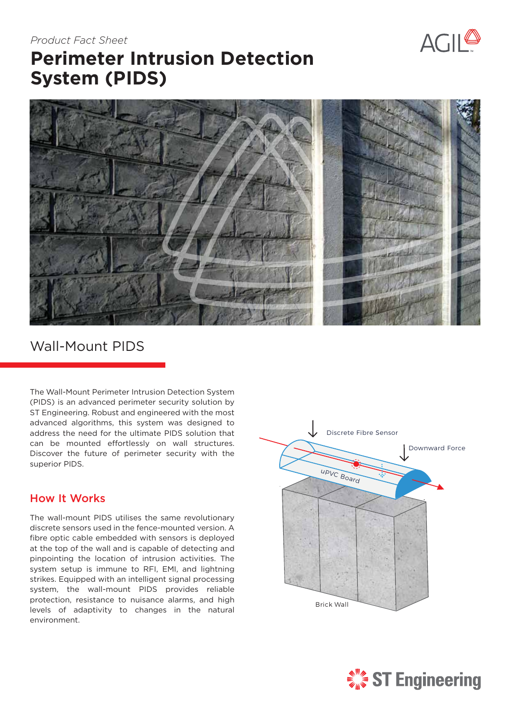# $ACII^{\circledR}$

# **Perimeter Intrusion Detection System (PIDS)** *Product Fact Sheet*



## Wall-Mount PIDS

The Wall-Mount Perimeter Intrusion Detection System (PIDS) is an advanced perimeter security solution by ST Engineering. Robust and engineered with the most advanced algorithms, this system was designed to address the need for the ultimate PIDS solution that can be mounted effortlessly on wall structures. Discover the future of perimeter security with the superior PIDS.

#### How It Works

The wall-mount PIDS utilises the same revolutionary discrete sensors used in the fence-mounted version. A fibre optic cable embedded with sensors is deployed at the top of the wall and is capable of detecting and pinpointing the location of intrusion activities. The system setup is immune to RFI, EMI, and lightning strikes. Equipped with an intelligent signal processing system, the wall-mount PIDS provides reliable protection, resistance to nuisance alarms, and high levels of adaptivity to changes in the natural environment.